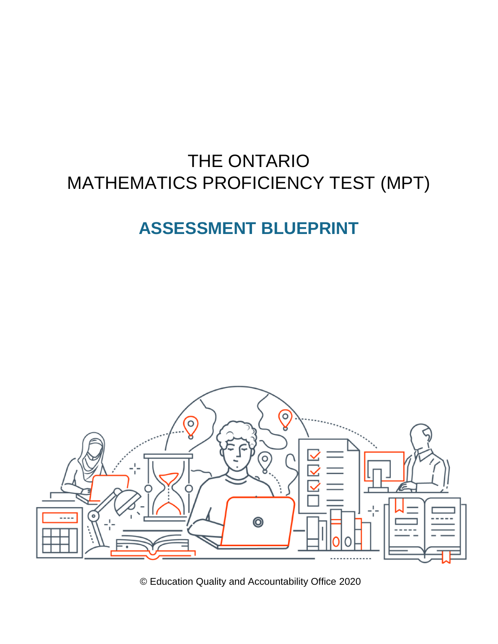# THE ONTARIO MATHEMATICS PROFICIENCY TEST (MPT)

# **ASSESSMENT BLUEPRINT**



© Education Quality and Accountability Office 2020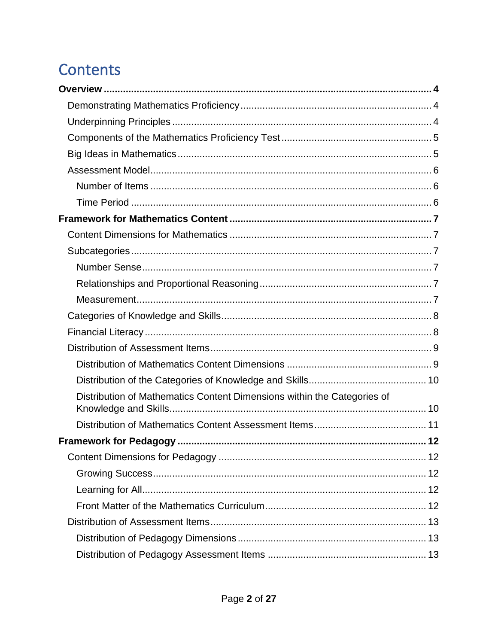# **Contents**

| Distribution of Mathematics Content Dimensions within the Categories of |  |
|-------------------------------------------------------------------------|--|
|                                                                         |  |
|                                                                         |  |
|                                                                         |  |
|                                                                         |  |
|                                                                         |  |
|                                                                         |  |
|                                                                         |  |
|                                                                         |  |
|                                                                         |  |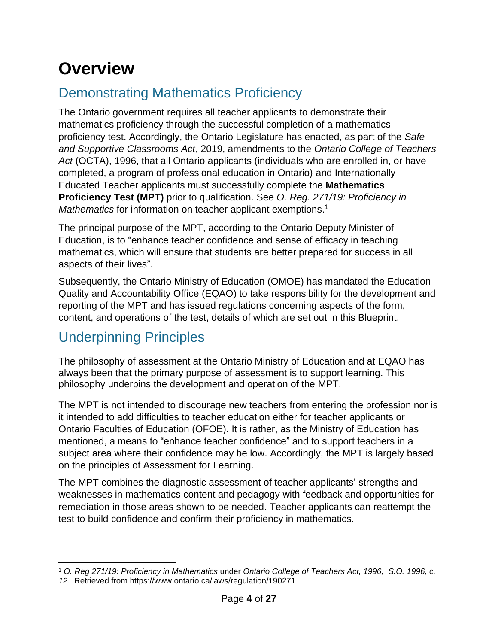# <span id="page-3-0"></span>**Overview**

## <span id="page-3-1"></span>Demonstrating Mathematics Proficiency

The Ontario government requires all teacher applicants to demonstrate their mathematics proficiency through the successful completion of a mathematics proficiency test. Accordingly, the Ontario Legislature has enacted, as part of the *Safe and Supportive Classrooms Act*, 2019, amendments to the *Ontario College of Teachers Act* (OCTA), 1996, that all Ontario applicants (individuals who are enrolled in, or have completed, a program of professional education in Ontario) and Internationally Educated Teacher applicants must successfully complete the **Mathematics Proficiency Test (MPT)** prior to qualification. See *O. Reg. 271/19: Proficiency in Mathematics* for information on teacher applicant exemptions.<sup>1</sup>

The principal purpose of the MPT, according to the Ontario Deputy Minister of Education, is to "enhance teacher confidence and sense of efficacy in teaching mathematics, which will ensure that students are better prepared for success in all aspects of their lives".

Subsequently, the Ontario Ministry of Education (OMOE) has mandated the Education Quality and Accountability Office (EQAO) to take responsibility for the development and reporting of the MPT and has issued regulations concerning aspects of the form, content, and operations of the test, details of which are set out in this Blueprint.

## <span id="page-3-2"></span>Underpinning Principles

The philosophy of assessment at the Ontario Ministry of Education and at EQAO has always been that the primary purpose of assessment is to support learning. This philosophy underpins the development and operation of the MPT.

The MPT is not intended to discourage new teachers from entering the profession nor is it intended to add difficulties to teacher education either for teacher applicants or Ontario Faculties of Education (OFOE). It is rather, as the Ministry of Education has mentioned, a means to "enhance teacher confidence" and to support teachers in a subject area where their confidence may be low. Accordingly, the MPT is largely based on the principles of Assessment for Learning.

The MPT combines the diagnostic assessment of teacher applicants' strengths and weaknesses in mathematics content and pedagogy with feedback and opportunities for remediation in those areas shown to be needed. Teacher applicants can reattempt the test to build confidence and confirm their proficiency in mathematics.

<sup>1</sup> *O. Reg 271/19: Proficiency in Mathematics* under *Ontario College of Teachers Act, 1996, [S.O. 1996, c.](https://www.ontario.ca/laws/statute/96o12)  [12.](https://www.ontario.ca/laws/statute/96o12)* Retrieved from https://www.ontario.ca/laws/regulation/190271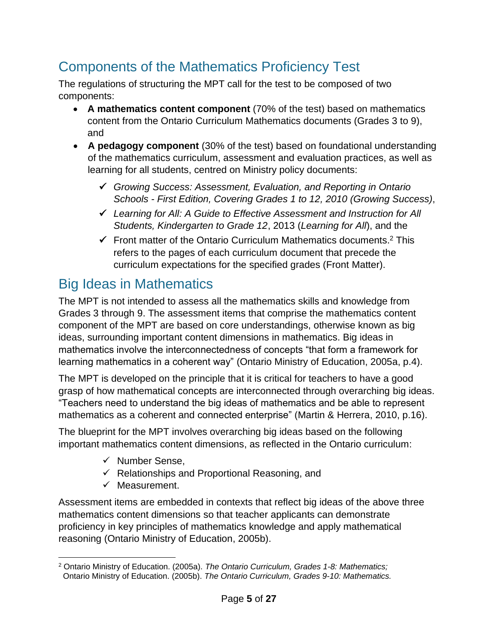## <span id="page-4-0"></span>Components of the Mathematics Proficiency Test

The regulations of structuring the MPT call for the test to be composed of two components:

- **A mathematics content component** (70% of the test) based on mathematics content from the Ontario Curriculum Mathematics documents (Grades 3 to 9), and
- **A pedagogy component** (30% of the test) based on foundational understanding of the mathematics curriculum, assessment and evaluation practices, as well as learning for all students, centred on Ministry policy documents:
	- ✓ *Growing Success: Assessment, Evaluation, and Reporting in Ontario Schools - First Edition, Covering Grades 1 to 12, 2010 (Growing Success)*,
	- ✓ *Learning for All: A Guide to Effective Assessment and Instruction for All Students, Kindergarten to Grade 12*, 2013 (*Learning for All*), and the
	- $\checkmark$  Front matter of the Ontario Curriculum Mathematics documents.<sup>2</sup> This refers to the pages of each curriculum document that precede the curriculum expectations for the specified grades (Front Matter).

## <span id="page-4-1"></span>Big Ideas in Mathematics

The MPT is not intended to assess all the mathematics skills and knowledge from Grades 3 through 9. The assessment items that comprise the mathematics content component of the MPT are based on core understandings, otherwise known as big ideas, surrounding important content dimensions in mathematics. Big ideas in mathematics involve the interconnectedness of concepts "that form a framework for learning mathematics in a coherent way" (Ontario Ministry of Education, 2005a, p.4).

The MPT is developed on the principle that it is critical for teachers to have a good grasp of how mathematical concepts are interconnected through overarching big ideas. "Teachers need to understand the big ideas of mathematics and be able to represent mathematics as a coherent and connected enterprise" (Martin & Herrera, 2010, p.16).

The blueprint for the MPT involves overarching big ideas based on the following important mathematics content dimensions, as reflected in the Ontario curriculum:

- ✓ Number Sense,
- $\checkmark$  Relationships and Proportional Reasoning, and
- $\checkmark$  Measurement.

Assessment items are embedded in contexts that reflect big ideas of the above three mathematics content dimensions so that teacher applicants can demonstrate proficiency in key principles of mathematics knowledge and apply mathematical reasoning (Ontario Ministry of Education, 2005b).

<sup>2</sup> Ontario Ministry of Education. (2005a). *The Ontario Curriculum, Grades 1-8: Mathematics;* Ontario Ministry of Education. (2005b). *The Ontario Curriculum, Grades 9-10: Mathematics.*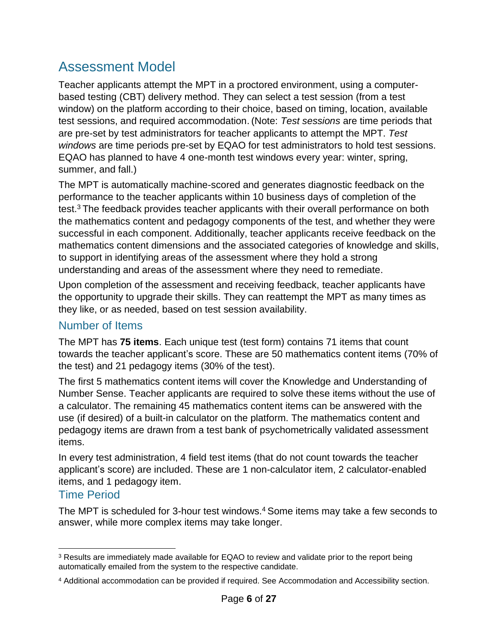## <span id="page-5-0"></span>Assessment Model

Teacher applicants attempt the MPT in a proctored environment, using a computerbased testing (CBT) delivery method. They can select a test session (from a test window) on the platform according to their choice, based on timing, location, available test sessions, and required accommodation. (Note: *Test sessions* are time periods that are pre-set by test administrators for teacher applicants to attempt the MPT. *Test windows* are time periods pre-set by EQAO for test administrators to hold test sessions. EQAO has planned to have 4 one-month test windows every year: winter, spring, summer, and fall.)

The MPT is automatically machine-scored and generates diagnostic feedback on the performance to the teacher applicants within 10 business days of completion of the test.<sup>3</sup> The feedback provides teacher applicants with their overall performance on both the mathematics content and pedagogy components of the test, and whether they were successful in each component. Additionally, teacher applicants receive feedback on the mathematics content dimensions and the associated categories of knowledge and skills, to support in identifying areas of the assessment where they hold a strong understanding and areas of the assessment where they need to remediate.

Upon completion of the assessment and receiving feedback, teacher applicants have the opportunity to upgrade their skills. They can reattempt the MPT as many times as they like, or as needed, based on test session availability.

### <span id="page-5-1"></span>Number of Items

The MPT has **75 items**. Each unique test (test form) contains 71 items that count towards the teacher applicant's score. These are 50 mathematics content items (70% of the test) and 21 pedagogy items (30% of the test).

The first 5 mathematics content items will cover the Knowledge and Understanding of Number Sense. Teacher applicants are required to solve these items without the use of a calculator. The remaining 45 mathematics content items can be answered with the use (if desired) of a built-in calculator on the platform. The mathematics content and pedagogy items are drawn from a test bank of psychometrically validated assessment items.

In every test administration, 4 field test items (that do not count towards the teacher applicant's score) are included. These are 1 non-calculator item, 2 calculator-enabled items, and 1 pedagogy item.

### <span id="page-5-2"></span>Time Period

The MPT is scheduled for 3-hour test windows.<sup>4</sup> Some items may take a few seconds to answer, while more complex items may take longer.

<sup>&</sup>lt;sup>3</sup> Results are immediately made available for EQAO to review and validate prior to the report being automatically emailed from the system to the respective candidate.

<sup>4</sup> Additional accommodation can be provided if required. See Accommodation and Accessibility section.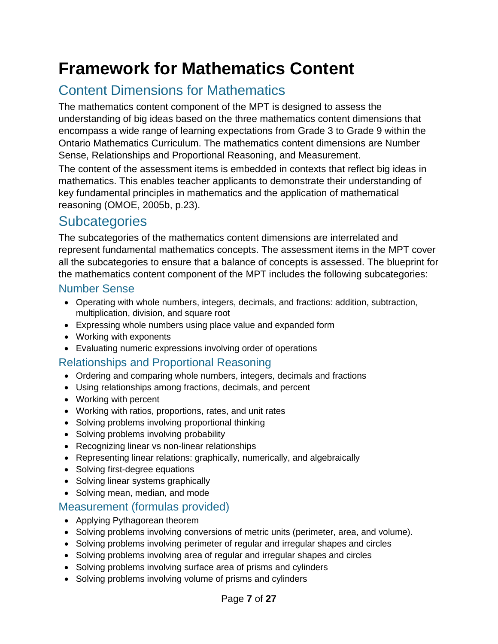# <span id="page-6-0"></span>**Framework for Mathematics Content**

## <span id="page-6-1"></span>Content Dimensions for Mathematics

The mathematics content component of the MPT is designed to assess the understanding of big ideas based on the three mathematics content dimensions that encompass a wide range of learning expectations from Grade 3 to Grade 9 within the Ontario Mathematics Curriculum. The mathematics content dimensions are Number Sense, Relationships and Proportional Reasoning, and Measurement.

The content of the assessment items is embedded in contexts that reflect big ideas in mathematics. This enables teacher applicants to demonstrate their understanding of key fundamental principles in mathematics and the application of mathematical reasoning (OMOE, 2005b, p.23).

## <span id="page-6-2"></span>**Subcategories**

The subcategories of the mathematics content dimensions are interrelated and represent fundamental mathematics concepts. The assessment items in the MPT cover all the subcategories to ensure that a balance of concepts is assessed. The blueprint for the mathematics content component of the MPT includes the following subcategories:

### <span id="page-6-3"></span>Number Sense

- Operating with whole numbers, integers, decimals, and fractions: addition, subtraction, multiplication, division, and square root
- Expressing whole numbers using place value and expanded form
- Working with exponents
- Evaluating numeric expressions involving order of operations

### <span id="page-6-4"></span>Relationships and Proportional Reasoning

- Ordering and comparing whole numbers, integers, decimals and fractions
- Using relationships among fractions, decimals, and percent
- Working with percent
- Working with ratios, proportions, rates, and unit rates
- Solving problems involving proportional thinking
- Solving problems involving probability
- Recognizing linear vs non-linear relationships
- Representing linear relations: graphically, numerically, and algebraically
- Solving first-degree equations
- Solving linear systems graphically
- Solving mean, median, and mode

### <span id="page-6-5"></span>Measurement (formulas provided)

- Applying Pythagorean theorem
- Solving problems involving conversions of metric units (perimeter, area, and volume).
- Solving problems involving perimeter of regular and irregular shapes and circles
- Solving problems involving area of regular and irregular shapes and circles
- Solving problems involving surface area of prisms and cylinders
- Solving problems involving volume of prisms and cylinders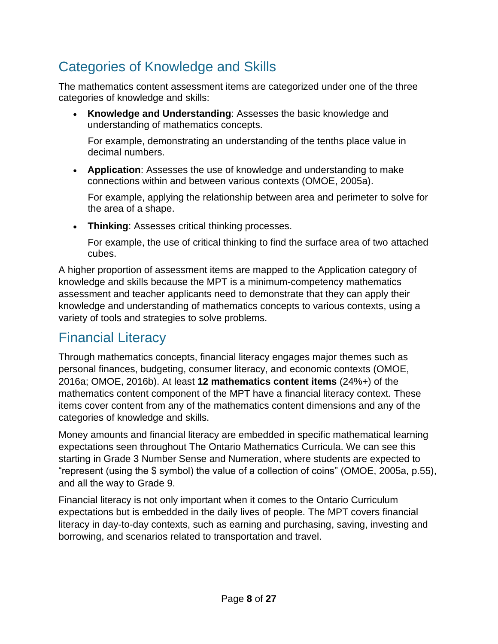## <span id="page-7-0"></span>Categories of Knowledge and Skills

The mathematics content assessment items are categorized under one of the three categories of knowledge and skills:

• **Knowledge and Understanding**: Assesses the basic knowledge and understanding of mathematics concepts.

For example, demonstrating an understanding of the tenths place value in decimal numbers.

• **Application**: Assesses the use of knowledge and understanding to make connections within and between various contexts (OMOE, 2005a).

For example, applying the relationship between area and perimeter to solve for the area of a shape.

• **Thinking**: Assesses critical thinking processes.

For example, the use of critical thinking to find the surface area of two attached cubes.

A higher proportion of assessment items are mapped to the Application category of knowledge and skills because the MPT is a minimum-competency mathematics assessment and teacher applicants need to demonstrate that they can apply their knowledge and understanding of mathematics concepts to various contexts, using a variety of tools and strategies to solve problems.

## <span id="page-7-1"></span>Financial Literacy

Through mathematics concepts, financial literacy engages major themes such as personal finances, budgeting, consumer literacy, and economic contexts (OMOE, 2016a; OMOE, 2016b). At least **12 mathematics content items** (24%+) of the mathematics content component of the MPT have a financial literacy context. These items cover content from any of the mathematics content dimensions and any of the categories of knowledge and skills.

Money amounts and financial literacy are embedded in specific mathematical learning expectations seen throughout The Ontario Mathematics Curricula. We can see this starting in Grade 3 Number Sense and Numeration, where students are expected to "represent (using the \$ symbol) the value of a collection of coins" (OMOE, 2005a, p.55), and all the way to Grade 9.

Financial literacy is not only important when it comes to the Ontario Curriculum expectations but is embedded in the daily lives of people. The MPT covers financial literacy in day-to-day contexts, such as earning and purchasing, saving, investing and borrowing, and scenarios related to transportation and travel.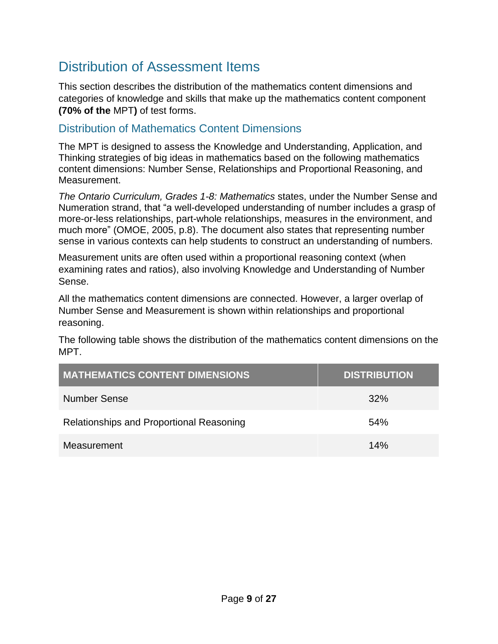## <span id="page-8-0"></span>Distribution of Assessment Items

This section describes the distribution of the mathematics content dimensions and categories of knowledge and skills that make up the mathematics content component **(70% of the** MPT**)** of test forms.

### <span id="page-8-1"></span>Distribution of Mathematics Content Dimensions

The MPT is designed to assess the Knowledge and Understanding, Application, and Thinking strategies of big ideas in mathematics based on the following mathematics content dimensions: Number Sense, Relationships and Proportional Reasoning, and Measurement.

*The Ontario Curriculum, Grades 1-8: Mathematics* states, under the Number Sense and Numeration strand, that "a well-developed understanding of number includes a grasp of more-or-less relationships, part-whole relationships, measures in the environment, and much more" (OMOE, 2005, p.8). The document also states that representing number sense in various contexts can help students to construct an understanding of numbers.

Measurement units are often used within a proportional reasoning context (when examining rates and ratios), also involving Knowledge and Understanding of Number Sense.

All the mathematics content dimensions are connected. However, a larger overlap of Number Sense and Measurement is shown within relationships and proportional reasoning.

The following table shows the distribution of the mathematics content dimensions on the MPT.

<span id="page-8-2"></span>

| <b>MATHEMATICS CONTENT DIMENSIONS</b>    | <b>DISTRIBUTION</b> |
|------------------------------------------|---------------------|
| <b>Number Sense</b>                      | 32%                 |
| Relationships and Proportional Reasoning | 54%                 |
| Measurement                              | 14%                 |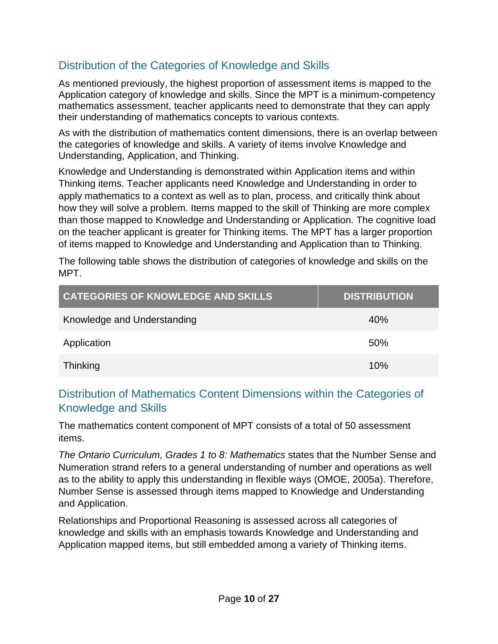### Distribution of the Categories of Knowledge and Skills

As mentioned previously, the highest proportion of assessment items is mapped to the Application category of knowledge and skills. Since the MPT is a minimum-competency mathematics assessment, teacher applicants need to demonstrate that they can apply their understanding of mathematics concepts to various contexts.

As with the distribution of mathematics content dimensions, there is an overlap between the categories of knowledge and skills. A variety of items involve Knowledge and Understanding, Application, and Thinking.

Knowledge and Understanding is demonstrated within Application items and within Thinking items. Teacher applicants need Knowledge and Understanding in order to apply mathematics to a context as well as to plan, process, and critically think about how they will solve a problem. Items mapped to the skill of Thinking are more complex than those mapped to Knowledge and Understanding or Application. The cognitive load on the teacher applicant is greater for Thinking items. The MPT has a larger proportion of items mapped to Knowledge and Understanding and Application than to Thinking.

The following table shows the distribution of categories of knowledge and skills on the MPT.

| <b>CATEGORIES OF KNOWLEDGE AND SKILLS</b> | <b>DISTRIBUTION</b> |
|-------------------------------------------|---------------------|
| Knowledge and Understanding               | 40%                 |
| Application                               | 50%                 |
| Thinking                                  | 10%                 |

### <span id="page-9-0"></span>Distribution of Mathematics Content Dimensions within the Categories of Knowledge and Skills

The mathematics content component of MPT consists of a total of 50 assessment items.

*The Ontario Curriculum, Grades 1 to 8: Mathematics* states that the Number Sense and Numeration strand refers to a general understanding of number and operations as well as to the ability to apply this understanding in flexible ways (OMOE, 2005a). Therefore, Number Sense is assessed through items mapped to Knowledge and Understanding and Application.

Relationships and Proportional Reasoning is assessed across all categories of knowledge and skills with an emphasis towards Knowledge and Understanding and Application mapped items, but still embedded among a variety of Thinking items.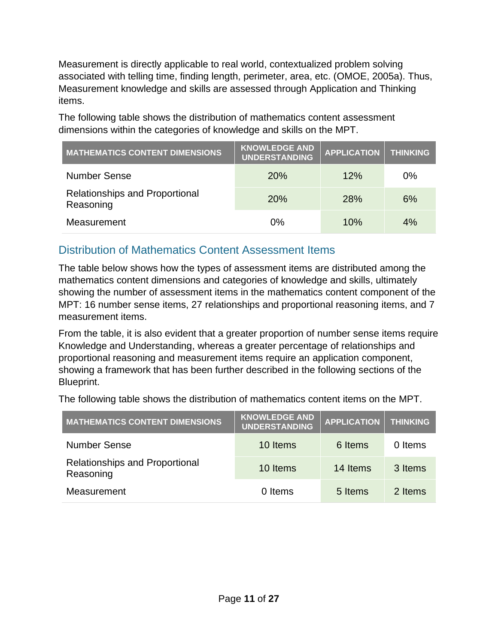Measurement is directly applicable to real world, contextualized problem solving associated with telling time, finding length, perimeter, area, etc. (OMOE, 2005a). Thus, Measurement knowledge and skills are assessed through Application and Thinking items.

The following table shows the distribution of mathematics content assessment dimensions within the categories of knowledge and skills on the MPT.

| <b>MATHEMATICS CONTENT DIMENSIONS</b>              | <b>KNOWLEDGE AND</b><br><b>UNDERSTANDING</b> | <b>APPLICATION</b> | <b>THINKING</b> |
|----------------------------------------------------|----------------------------------------------|--------------------|-----------------|
| <b>Number Sense</b>                                | 20%                                          | 12%                | $0\%$           |
| <b>Relationships and Proportional</b><br>Reasoning | <b>20%</b>                                   | 28%                | 6%              |
| Measurement                                        | 0%                                           | 10%                | 4%              |

### <span id="page-10-0"></span>Distribution of Mathematics Content Assessment Items

The table below shows how the types of assessment items are distributed among the mathematics content dimensions and categories of knowledge and skills, ultimately showing the number of assessment items in the mathematics content component of the MPT: 16 number sense items, 27 relationships and proportional reasoning items, and 7 measurement items.

From the table, it is also evident that a greater proportion of number sense items require Knowledge and Understanding, whereas a greater percentage of relationships and proportional reasoning and measurement items require an application component, showing a framework that has been further described in the following sections of the Blueprint.

The following table shows the distribution of mathematics content items on the MPT.

| <b>MATHEMATICS CONTENT DIMENSIONS</b>              | <b>KNOWLEDGE AND</b><br><b>UNDERSTANDING</b> | <b>APPLICATION</b> | <b>THINKING</b> |
|----------------------------------------------------|----------------------------------------------|--------------------|-----------------|
| <b>Number Sense</b>                                | 10 Items                                     | 6 Items            | 0 Items         |
| <b>Relationships and Proportional</b><br>Reasoning | 10 Items                                     | 14 Items           | 3 Items         |
| Measurement                                        | 0 Items                                      | 5 Items            | 2 Items         |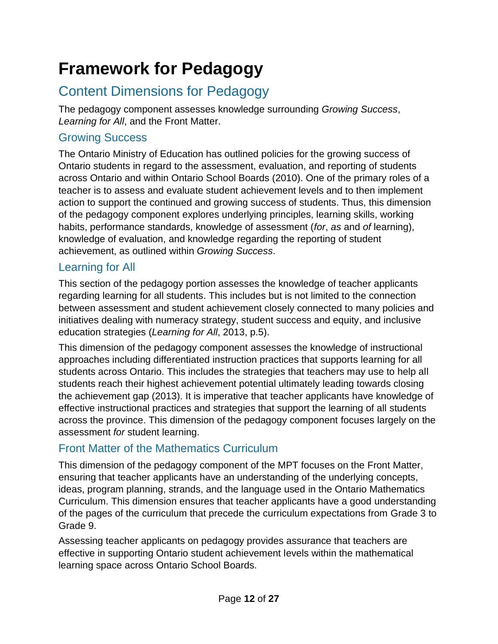# <span id="page-11-0"></span>**Framework for Pedagogy**

## <span id="page-11-1"></span>Content Dimensions for Pedagogy

The pedagogy component assesses knowledge surrounding *Growing Success*, *Learning for All*, and the Front Matter.

### <span id="page-11-2"></span>Growing Success

The Ontario Ministry of Education has outlined policies for the growing success of Ontario students in regard to the assessment, evaluation, and reporting of students across Ontario and within Ontario School Boards (2010). One of the primary roles of a teacher is to assess and evaluate student achievement levels and to then implement action to support the continued and growing success of students. Thus, this dimension of the pedagogy component explores underlying principles, learning skills, working habits, performance standards, knowledge of assessment (*for*, *as* and *of* learning), knowledge of evaluation, and knowledge regarding the reporting of student achievement, as outlined within *Growing Success*.

### <span id="page-11-3"></span>Learning for All

This section of the pedagogy portion assesses the knowledge of teacher applicants regarding learning for all students. This includes but is not limited to the connection between assessment and student achievement closely connected to many policies and initiatives dealing with numeracy strategy, student success and equity, and inclusive education strategies (*Learning for All*, 2013, p.5).

This dimension of the pedagogy component assesses the knowledge of instructional approaches including differentiated instruction practices that supports learning for all students across Ontario. This includes the strategies that teachers may use to help all students reach their highest achievement potential ultimately leading towards closing the achievement gap (2013). It is imperative that teacher applicants have knowledge of effective instructional practices and strategies that support the learning of all students across the province. This dimension of the pedagogy component focuses largely on the assessment *for* student learning.

### <span id="page-11-4"></span>Front Matter of the Mathematics Curriculum

This dimension of the pedagogy component of the MPT focuses on the Front Matter, ensuring that teacher applicants have an understanding of the underlying concepts, ideas, program planning, strands, and the language used in the Ontario Mathematics Curriculum. This dimension ensures that teacher applicants have a good understanding of the pages of the curriculum that precede the curriculum expectations from Grade 3 to Grade 9.

Assessing teacher applicants on pedagogy provides assurance that teachers are effective in supporting Ontario student achievement levels within the mathematical learning space across Ontario School Boards.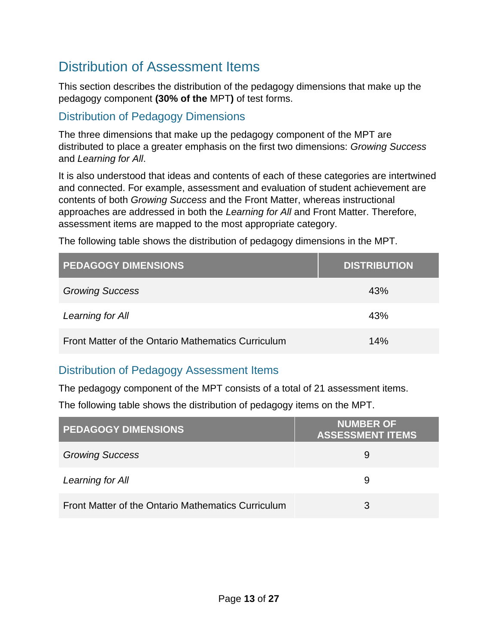## <span id="page-12-0"></span>Distribution of Assessment Items

This section describes the distribution of the pedagogy dimensions that make up the pedagogy component **(30% of the** MPT**)** of test forms.

### <span id="page-12-1"></span>Distribution of Pedagogy Dimensions

The three dimensions that make up the pedagogy component of the MPT are distributed to place a greater emphasis on the first two dimensions: *Growing Success* and *Learning for All*.

It is also understood that ideas and contents of each of these categories are intertwined and connected. For example, assessment and evaluation of student achievement are contents of both *Growing Success* and the Front Matter, whereas instructional approaches are addressed in both the *Learning for All* and Front Matter. Therefore, assessment items are mapped to the most appropriate category.

The following table shows the distribution of pedagogy dimensions in the MPT.

| <b>PEDAGOGY DIMENSIONS</b>                         | <b>DISTRIBUTION</b> |
|----------------------------------------------------|---------------------|
| <b>Growing Success</b>                             | 43%                 |
| Learning for All                                   | 43%                 |
| Front Matter of the Ontario Mathematics Curriculum | 14%                 |

### <span id="page-12-2"></span>Distribution of Pedagogy Assessment Items

The pedagogy component of the MPT consists of a total of 21 assessment items.

The following table shows the distribution of pedagogy items on the MPT.

| <b>PEDAGOGY DIMENSIONS</b>                         | <b>NUMBER OF</b><br><b>ASSESSMENT ITEMS</b> |
|----------------------------------------------------|---------------------------------------------|
| <b>Growing Success</b>                             | 9                                           |
| Learning for All                                   | 9                                           |
| Front Matter of the Ontario Mathematics Curriculum | 3                                           |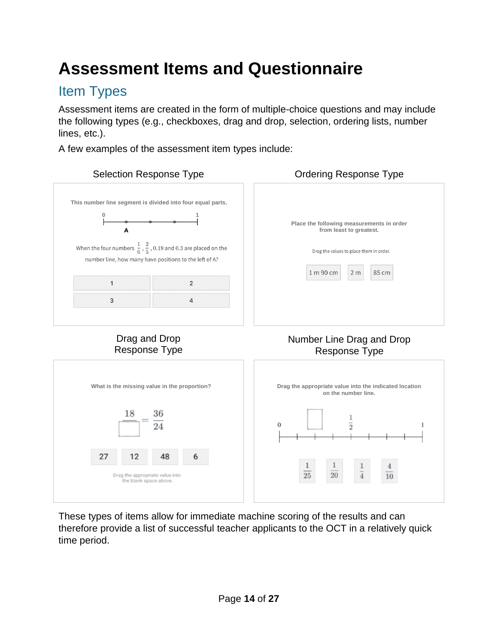# <span id="page-13-0"></span>**Assessment Items and Questionnaire**

## <span id="page-13-1"></span>Item Types

Assessment items are created in the form of multiple-choice questions and may include the following types (e.g., checkboxes, drag and drop, selection, ordering lists, number lines, etc.).

A few examples of the assessment item types include:



<span id="page-13-2"></span>These types of items allow for immediate machine scoring of the results and can therefore provide a list of successful teacher applicants to the OCT in a relatively quick time period.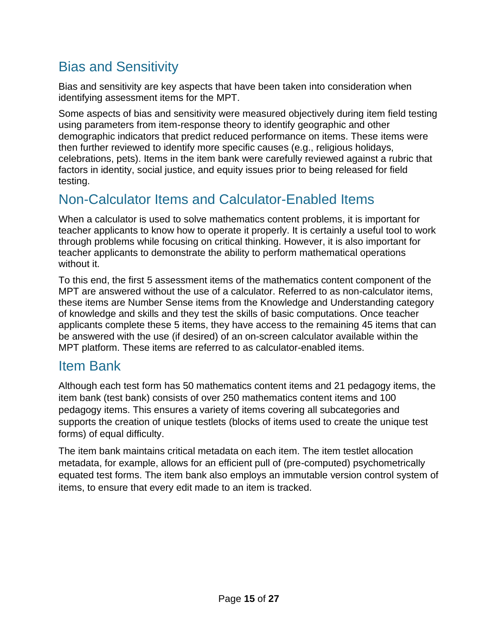## Bias and Sensitivity

Bias and sensitivity are key aspects that have been taken into consideration when identifying assessment items for the MPT.

Some aspects of bias and sensitivity were measured objectively during item field testing using parameters from item-response theory to identify geographic and other demographic indicators that predict reduced performance on items. These items were then further reviewed to identify more specific causes (e.g., religious holidays, celebrations, pets). Items in the item bank were carefully reviewed against a rubric that factors in identity, social justice, and equity issues prior to being released for field testing.

## <span id="page-14-0"></span>Non-Calculator Items and Calculator-Enabled Items

When a calculator is used to solve mathematics content problems, it is important for teacher applicants to know how to operate it properly. It is certainly a useful tool to work through problems while focusing on critical thinking. However, it is also important for teacher applicants to demonstrate the ability to perform mathematical operations without it.

To this end, the first 5 assessment items of the mathematics content component of the MPT are answered without the use of a calculator. Referred to as non-calculator items, these items are Number Sense items from the Knowledge and Understanding category of knowledge and skills and they test the skills of basic computations. Once teacher applicants complete these 5 items, they have access to the remaining 45 items that can be answered with the use (if desired) of an on-screen calculator available within the MPT platform. These items are referred to as calculator-enabled items.

### <span id="page-14-1"></span>Item Bank

Although each test form has 50 mathematics content items and 21 pedagogy items, the item bank (test bank) consists of over 250 mathematics content items and 100 pedagogy items. This ensures a variety of items covering all subcategories and supports the creation of unique testlets (blocks of items used to create the unique test forms) of equal difficulty.

The item bank maintains critical metadata on each item. The item testlet allocation metadata, for example, allows for an efficient pull of (pre-computed) psychometrically equated test forms. The item bank also employs an immutable version control system of items, to ensure that every edit made to an item is tracked.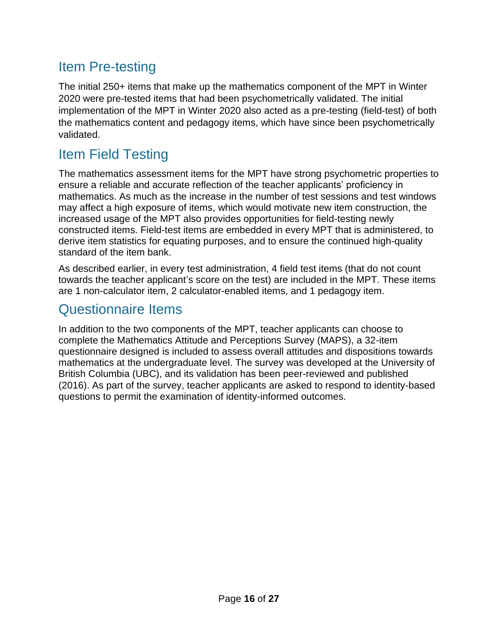## <span id="page-15-0"></span>Item Pre-testing

The initial 250+ items that make up the mathematics component of the MPT in Winter 2020 were pre-tested items that had been psychometrically validated. The initial implementation of the MPT in Winter 2020 also acted as a pre-testing (field-test) of both the mathematics content and pedagogy items, which have since been psychometrically validated.

## <span id="page-15-1"></span>Item Field Testing

The mathematics assessment items for the MPT have strong psychometric properties to ensure a reliable and accurate reflection of the teacher applicants' proficiency in mathematics. As much as the increase in the number of test sessions and test windows may affect a high exposure of items, which would motivate new item construction, the increased usage of the MPT also provides opportunities for field-testing newly constructed items. Field-test items are embedded in every MPT that is administered, to derive item statistics for equating purposes, and to ensure the continued high-quality standard of the item bank.

As described earlier, in every test administration, 4 field test items (that do not count towards the teacher applicant's score on the test) are included in the MPT. These items are 1 non-calculator item, 2 calculator-enabled items, and 1 pedagogy item.

## <span id="page-15-2"></span>Questionnaire Items

In addition to the two components of the MPT, teacher applicants can choose to complete the Mathematics Attitude and Perceptions Survey (MAPS), a 32-item questionnaire designed is included to assess overall attitudes and dispositions towards mathematics at the undergraduate level. The survey was developed at the University of British Columbia (UBC), and its validation has been peer-reviewed and published (2016). As part of the survey, teacher applicants are asked to respond to identity-based questions to permit the examination of identity-informed outcomes.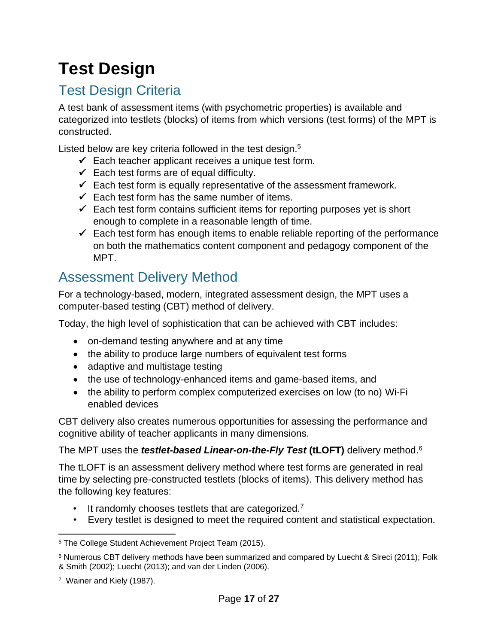# <span id="page-16-0"></span>**Test Design**

## <span id="page-16-1"></span>Test Design Criteria

A test bank of assessment items (with psychometric properties) is available and categorized into testlets (blocks) of items from which versions (test forms) of the MPT is constructed.

Listed below are key criteria followed in the test design.<sup>5</sup>

- $\checkmark$  Each teacher applicant receives a unique test form.
- $\checkmark$  Each test forms are of equal difficulty.
- $\checkmark$  Each test form is equally representative of the assessment framework.
- $\checkmark$  Each test form has the same number of items.
- $\checkmark$  Each test form contains sufficient items for reporting purposes yet is short enough to complete in a reasonable length of time.
- $\checkmark$  Each test form has enough items to enable reliable reporting of the performance on both the mathematics content component and pedagogy component of the MPT.

## <span id="page-16-2"></span>Assessment Delivery Method

For a technology-based, modern, integrated assessment design, the MPT uses a computer-based testing (CBT) method of delivery.

Today, the high level of sophistication that can be achieved with CBT includes:

- on-demand testing anywhere and at any time
- the ability to produce large numbers of equivalent test forms
- adaptive and multistage testing
- the use of technology-enhanced items and game-based items, and
- the ability to perform complex computerized exercises on low (to no) Wi-Fi enabled devices

CBT delivery also creates numerous opportunities for assessing the performance and cognitive ability of teacher applicants in many dimensions.

The MPT uses the *testlet-based Linear-on-the-Fly Test* **(tLOFT)** delivery method. 6

The tLOFT is an assessment delivery method where test forms are generated in real time by selecting pre-constructed testlets (blocks of items). This delivery method has the following key features:

- It randomly chooses testlets that are categorized.<sup>7</sup>
- Every testlet is designed to meet the required content and statistical expectation.

<sup>5</sup> The College Student Achievement Project Team (2015).

<sup>6</sup> Numerous CBT delivery methods have been summarized and compared by Luecht & Sireci (2011); Folk & Smith (2002); Luecht (2013); and van der Linden (2006).

<sup>7</sup> Wainer and Kiely (1987).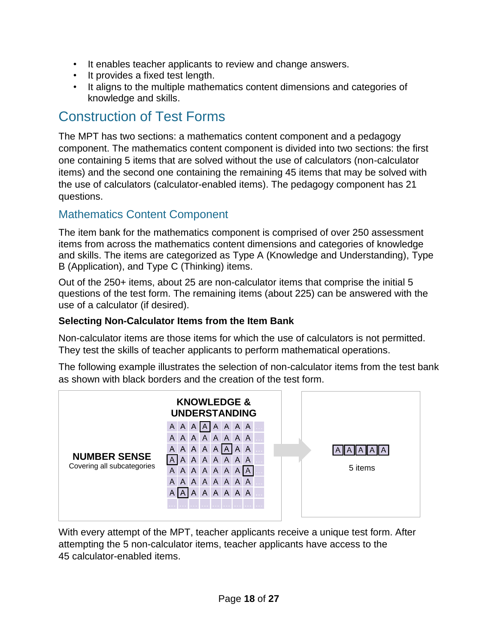- It enables teacher applicants to review and change answers.
- It provides a fixed test length.
- It aligns to the multiple mathematics content dimensions and categories of knowledge and skills.

## <span id="page-17-0"></span>Construction of Test Forms

The MPT has two sections: a mathematics content component and a pedagogy component. The mathematics content component is divided into two sections: the first one containing 5 items that are solved without the use of calculators (non-calculator items) and the second one containing the remaining 45 items that may be solved with the use of calculators (calculator-enabled items). The pedagogy component has 21 questions.

### <span id="page-17-1"></span>Mathematics Content Component

The item bank for the mathematics component is comprised of over 250 assessment items from across the mathematics content dimensions and categories of knowledge and skills. The items are categorized as Type A (Knowledge and Understanding), Type B (Application), and Type C (Thinking) items.

Out of the 250+ items, about 25 are non-calculator items that comprise the initial 5 questions of the test form. The remaining items (about 225) can be answered with the use of a calculator (if desired).

### **Selecting Non-Calculator Items from the Item Bank**

Non-calculator items are those items for which the use of calculators is not permitted. They test the skills of teacher applicants to perform mathematical operations.

The following example illustrates the selection of non-calculator items from the test bank as shown with black borders and the creation of the test form.



With every attempt of the MPT, teacher applicants receive a unique test form. After attempting the 5 non-calculator items, teacher applicants have access to the 45 calculator-enabled items.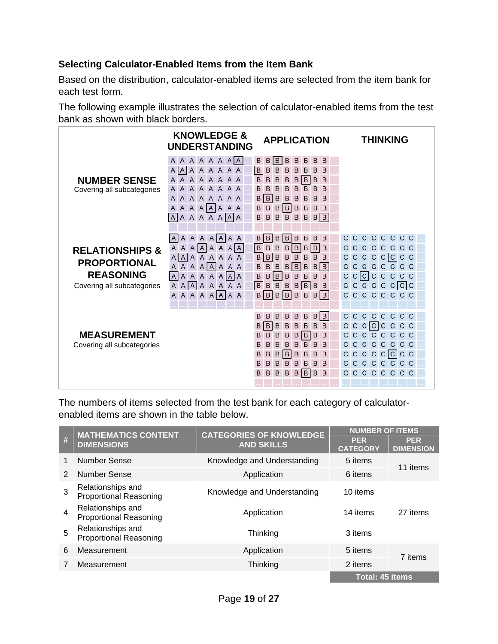### **Selecting Calculator-Enabled Items from the Item Bank**

Based on the distribution, calculator-enabled items are selected from the item bank for each test form.

The following example illustrates the selection of calculator-enabled items from the test bank as shown with black borders.

|                                                                                                     | <b>KNOWLEDGE &amp;</b><br><b>UNDERSTANDING</b>                                                                                                                                                                                                                  | <b>APPLICATION</b>                                                                                                                                                                                                                                                                                                                   | THINKING                                                                                                                                             |
|-----------------------------------------------------------------------------------------------------|-----------------------------------------------------------------------------------------------------------------------------------------------------------------------------------------------------------------------------------------------------------------|--------------------------------------------------------------------------------------------------------------------------------------------------------------------------------------------------------------------------------------------------------------------------------------------------------------------------------------|------------------------------------------------------------------------------------------------------------------------------------------------------|
| <b>NUMBER SENSE</b><br>Covering all subcategories                                                   | A A A A A A A<br>A<br>AAAAAA<br>$ \overline{A} $<br>A<br>AAAAAAA<br>A<br>AAAAAA<br>$\mathsf{A}$<br>A<br>AAAAAA<br>A<br>A<br>A A A A A A<br>A A<br>A A A A A A A A<br>$\mathsf{A}$                                                                               | B<br> B<br>B<br>B<br>B<br>B<br>B<br>B<br> B <br>B<br>B<br>B<br>B<br>B<br>B<br>B<br>B<br>B<br>B<br>B<br>B<br> B <br>B<br>B<br>B<br>B<br>B<br>B<br>B<br>B<br>B<br>B<br>$\overline{B}$<br>B<br>B<br>B<br>B<br>B<br>B<br>B<br>B<br>B<br>B<br> B <br>B<br>$\sf B$<br>B<br>B<br>$B$ $B$ $B$<br>B<br>B<br>B<br>B<br>B                       |                                                                                                                                                      |
| <b>RELATIONSHIPS &amp;</b><br><b>PROPORTIONAL</b><br><b>REASONING</b><br>Covering all subcategories | A A A A A A A<br>A<br>$A$ $A$ $A$ $A$<br>A<br>$\overline{A}$<br>A<br>$\mathsf{A}$<br>$\overline{A}$<br>A<br>$\mathsf{A}$<br>AAAA<br>$\mathsf{A}$<br>A A A A A<br>A<br>A<br>$\vert A \vert$<br>$\mathsf{A}$<br>A<br>A A A A A A<br>AAAAAAA<br>A<br>A A A A A A A | $\,$ B<br>$\overline{B}$<br>B<br>B<br>B<br>B<br>B<br>B<br>B<br>B<br>B<br>B<br>B<br>$B$ $B$<br>B<br>$\overline{B}$<br>B<br>B<br>B<br>B<br>B<br>B<br>B<br>B<br> B <br>B<br>$\sf B$<br>$\sf B$<br>B B <br>B<br>B<br>B<br>B<br>B<br>B<br>B<br>B<br>B<br>B<br>B<br>B<br>B<br>B<br>B<br>$\vert$ B<br>B<br>B B <br>B B <br>B<br>B<br>B<br>B | CCCCCC<br>$\mathsf{C}$<br>CCCCCCC<br>C<br>C C C C C C C C<br>C.<br>C<br>CCCCCCC<br>$C$ $C$ $C$ $C$ $C$ $C$ $C$<br>C<br>C C C C C C C<br>C<br>CCCCCCC |
| <b>MEASUREMENT</b><br>Covering all subcategories                                                    |                                                                                                                                                                                                                                                                 | B B <br>B<br>B<br>B<br>B<br>$\sf B$<br>B<br>$\mathsf B$<br>B<br>B<br>B<br>B<br>B<br>B<br>B<br>B<br>$\sf B$<br>B<br>B<br> B <br>B<br>$\sf B$<br>B<br>B<br>B<br>B<br>B<br>B<br>B<br>B<br>B<br>B<br>$\vert$ B<br>B<br>B<br>B<br>B<br>B<br>B<br>B<br>B<br>B<br>B<br>B<br>B<br>B<br>B<br>B<br>B<br> B <br>B<br>B<br>B<br>B<br>B           | CCCCCCC<br>$\mathsf{C}$<br>C<br>C C  C  C C C C<br>CCCCCCC<br>C<br>CCCCCCC<br>C C C C  C  C C<br>C.<br>CCCCCCCC<br>CCCCCCC                           |

The numbers of items selected from the test bank for each category of calculatorenabled items are shown in the table below.

|               | <b>MATHEMATICS CONTENT</b><br><b>CATEGORIES OF KNOWLEDGE</b> |                             | <b>NUMBER OF ITEMS</b>        |                                |
|---------------|--------------------------------------------------------------|-----------------------------|-------------------------------|--------------------------------|
| #             | <b>DIMENSIONS</b>                                            | <b>AND SKILLS</b>           | <b>PER</b><br><b>CATEGORY</b> | <b>PER</b><br><b>DIMENSION</b> |
| 1             | Number Sense                                                 | Knowledge and Understanding | 5 items                       | 11 items                       |
| $\mathcal{P}$ | Number Sense                                                 | Application                 | 6 items                       |                                |
| 3             | Relationships and<br><b>Proportional Reasoning</b>           | Knowledge and Understanding | 10 items                      |                                |
| 4             | Relationships and<br><b>Proportional Reasoning</b>           | Application                 | 14 items                      | 27 items                       |
| 5             | Relationships and<br><b>Proportional Reasoning</b>           | Thinking                    | 3 items                       |                                |
| 6             | Measurement                                                  | Application                 | 5 items                       | 7 items                        |
| 7             | Measurement                                                  | Thinking                    | 2 items                       |                                |
|               |                                                              | <b>Total: 45 items</b>      |                               |                                |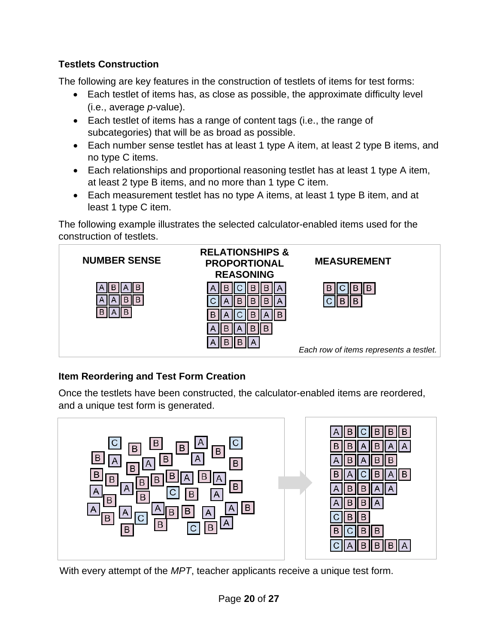### **Testlets Construction**

The following are key features in the construction of testlets of items for test forms:

- Each testlet of items has, as close as possible, the approximate difficulty level (i.e., average *p*-value).
- Each testlet of items has a range of content tags (i.e., the range of subcategories) that will be as broad as possible.
- Each number sense testlet has at least 1 type A item, at least 2 type B items, and no type C items.
- Each relationships and proportional reasoning testlet has at least 1 type A item, at least 2 type B items, and no more than 1 type C item.
- Each measurement testlet has no type A items, at least 1 type B item, and at least 1 type C item.

The following example illustrates the selected calculator-enabled items used for the construction of testlets.



### **Item Reordering and Test Form Creation**

Once the testlets have been constructed, the calculator-enabled items are reordered, and a unique test form is generated.



With every attempt of the *MPT*, teacher applicants receive a unique test form.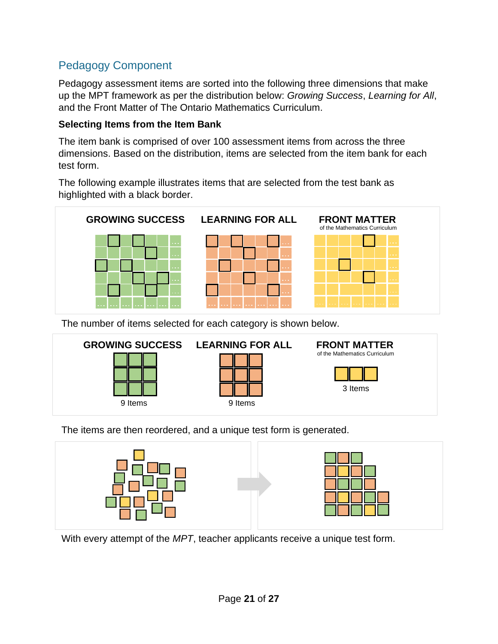### <span id="page-20-0"></span>Pedagogy Component

Pedagogy assessment items are sorted into the following three dimensions that make up the MPT framework as per the distribution below: *Growing Success*, *Learning for All*, and the Front Matter of The Ontario Mathematics Curriculum.

### **Selecting Items from the Item Bank**

The item bank is comprised of over 100 assessment items from across the three dimensions. Based on the distribution, items are selected from the item bank for each test form.

The following example illustrates items that are selected from the test bank as highlighted with a black border.



The number of items selected for each category is shown below.



The items are then reordered, and a unique test form is generated.



With every attempt of the *MPT*, teacher applicants receive a unique test form.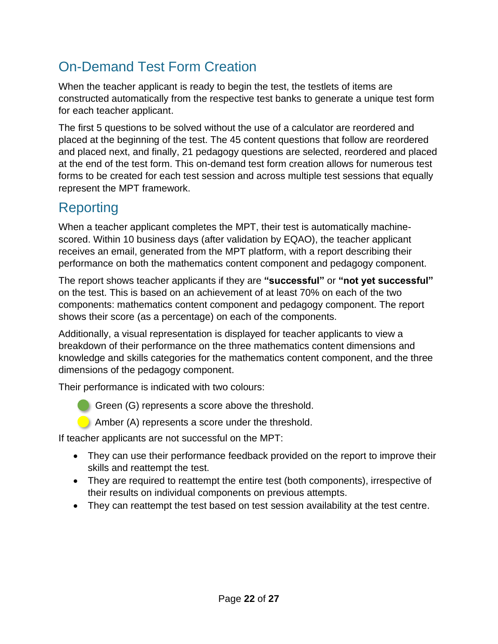## <span id="page-21-0"></span>On-Demand Test Form Creation

When the teacher applicant is ready to begin the test, the testlets of items are constructed automatically from the respective test banks to generate a unique test form for each teacher applicant.

The first 5 questions to be solved without the use of a calculator are reordered and placed at the beginning of the test. The 45 content questions that follow are reordered and placed next, and finally, 21 pedagogy questions are selected, reordered and placed at the end of the test form. This on-demand test form creation allows for numerous test forms to be created for each test session and across multiple test sessions that equally represent the MPT framework.

## <span id="page-21-1"></span>Reporting

When a teacher applicant completes the MPT, their test is automatically machinescored. Within 10 business days (after validation by EQAO), the teacher applicant receives an email, generated from the MPT platform, with a report describing their performance on both the mathematics content component and pedagogy component.

The report shows teacher applicants if they are **"successful"** or **"not yet successful"** on the test. This is based on an achievement of at least 70% on each of the two components: mathematics content component and pedagogy component. The report shows their score (as a percentage) on each of the components.

Additionally, a visual representation is displayed for teacher applicants to view a breakdown of their performance on the three mathematics content dimensions and knowledge and skills categories for the mathematics content component, and the three dimensions of the pedagogy component.

Their performance is indicated with two colours:

Green (G) represents a score above the threshold.

Amber (A) represents a score under the threshold.

If teacher applicants are not successful on the MPT:

- They can use their performance feedback provided on the report to improve their skills and reattempt the test.
- They are required to reattempt the entire test (both components), irrespective of their results on individual components on previous attempts.
- They can reattempt the test based on test session availability at the test centre.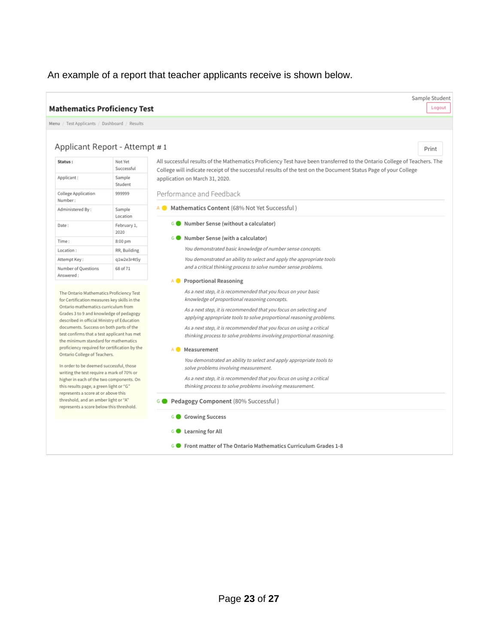### An example of a report that teacher applicants receive is shown below.

| <b>Mathematics Proficiency Test</b>                                                                                                                                    |                                                                                     |                                                                                                                                                                                                                                                                               | Sample Student<br>Logout |
|------------------------------------------------------------------------------------------------------------------------------------------------------------------------|-------------------------------------------------------------------------------------|-------------------------------------------------------------------------------------------------------------------------------------------------------------------------------------------------------------------------------------------------------------------------------|--------------------------|
| Menu / Test Applicants / Dashboard / Results                                                                                                                           |                                                                                     |                                                                                                                                                                                                                                                                               |                          |
|                                                                                                                                                                        | Applicant Report - Attempt #1                                                       | Print                                                                                                                                                                                                                                                                         |                          |
| Status:<br>Applicant:                                                                                                                                                  | Not Yet<br>Successful<br>Sample                                                     | All successful results of the Mathematics Proficiency Test have been transferred to the Ontario College of Teachers. The<br>College will indicate receipt of the successful results of the test on the Document Status Page of your College<br>application on March 31, 2020. |                          |
| College Application<br>Number:                                                                                                                                         | Student<br>999999                                                                   | Performance and Feedback                                                                                                                                                                                                                                                      |                          |
| Administered By:                                                                                                                                                       | Sample<br>Location                                                                  | Mathematics Content (68% Not Yet Successful)                                                                                                                                                                                                                                  |                          |
| Date:                                                                                                                                                                  | February 1,<br>2020                                                                 | G Number Sense (without a calculator)                                                                                                                                                                                                                                         |                          |
| Time:                                                                                                                                                                  | 8:00 pm                                                                             | G O<br>Number Sense (with a calculator)                                                                                                                                                                                                                                       |                          |
| Location:                                                                                                                                                              | RR, Building                                                                        | You demonstrated basic knowledge of number sense concepts.                                                                                                                                                                                                                    |                          |
| Attempt Key:                                                                                                                                                           | q1w2e3r4t5y                                                                         | You demonstrated an ability to select and apply the appropriate tools                                                                                                                                                                                                         |                          |
| Number of Questions<br>Answered:                                                                                                                                       | 68 of 71                                                                            | and a critical thinking process to solve number sense problems.                                                                                                                                                                                                               |                          |
|                                                                                                                                                                        |                                                                                     | A Proportional Reasoning                                                                                                                                                                                                                                                      |                          |
| for Certification measures key skills in the<br>Ontario mathematics curriculum from                                                                                    | The Ontario Mathematics Proficiency Test<br>Grades 3 to 9 and knowledge of pedagogy | As a next step, it is recommended that you focus on your basic<br>knowledge of proportional reasoning concepts.<br>As a next step, it is recommended that you focus on selecting and<br>applying appropriate tools to solve proportional reasoning problems.                  |                          |
| described in official Ministry of Education<br>documents. Success on both parts of the<br>the minimum standard for mathematics                                         | test confirms that a test applicant has met                                         | As a next step, it is recommended that you focus on using a critical<br>thinking process to solve problems involving proportional reasoning.                                                                                                                                  |                          |
| Ontario College of Teachers.                                                                                                                                           | proficiency required for certification by the                                       | A Measurement                                                                                                                                                                                                                                                                 |                          |
| In order to be deemed successful, those<br>writing the test require a mark of 70% or<br>this results page, a green light or "G"<br>represents a score at or above this | higher in each of the two components. On                                            | You demonstrated an ability to select and apply appropriate tools to<br>solve problems involving measurement.<br>As a next step, it is recommended that you focus on using a critical<br>thinking process to solve problems involving measurement.                            |                          |
| threshold, and an amber light or "A"<br>represents a score below this threshold.                                                                                       |                                                                                     | Pedagogy Component (80% Successful)                                                                                                                                                                                                                                           |                          |
|                                                                                                                                                                        |                                                                                     | G Growing Success                                                                                                                                                                                                                                                             |                          |
|                                                                                                                                                                        |                                                                                     | G Learning for All                                                                                                                                                                                                                                                            |                          |
|                                                                                                                                                                        |                                                                                     | Front matter of The Ontario Mathematics Curriculum Grades 1-8<br>G C                                                                                                                                                                                                          |                          |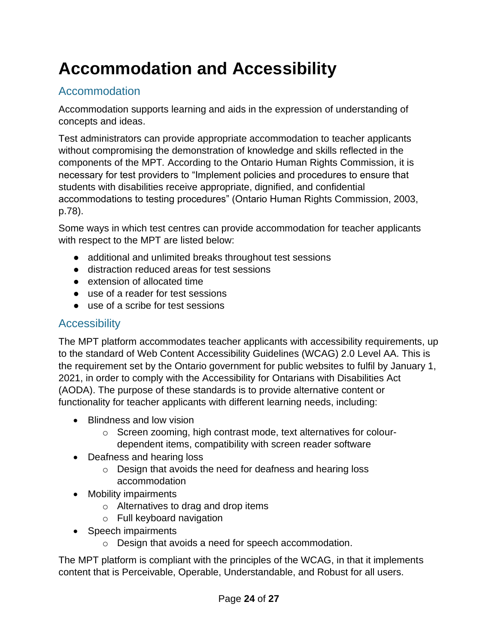# <span id="page-23-0"></span>**Accommodation and Accessibility**

### <span id="page-23-1"></span>Accommodation

Accommodation supports learning and aids in the expression of understanding of concepts and ideas.

Test administrators can provide appropriate accommodation to teacher applicants without compromising the demonstration of knowledge and skills reflected in the components of the MPT*.* According to the Ontario Human Rights Commission, it is necessary for test providers to "Implement policies and procedures to ensure that students with disabilities receive appropriate, dignified, and confidential accommodations to testing procedures" (Ontario Human Rights Commission, 2003, p.78).

Some ways in which test centres can provide accommodation for teacher applicants with respect to the MPT are listed below:

- additional and unlimited breaks throughout test sessions
- distraction reduced areas for test sessions
- extension of allocated time
- use of a reader for test sessions
- use of a scribe for test sessions

### <span id="page-23-2"></span>**Accessibility**

The MPT platform accommodates teacher applicants with accessibility requirements, up to the standard of Web Content Accessibility Guidelines (WCAG) 2.0 Level AA. This is the requirement set by the Ontario government for public websites to fulfil by January 1, 2021, in order to comply with the Accessibility for Ontarians with Disabilities Act (AODA). The purpose of these standards is to provide alternative content or functionality for teacher applicants with different learning needs, including:

- Blindness and low vision
	- o Screen zooming, high contrast mode, text alternatives for colourdependent items, compatibility with screen reader software
- Deafness and hearing loss
	- o Design that avoids the need for deafness and hearing loss accommodation
- Mobility impairments
	- o Alternatives to drag and drop items
	- o Full keyboard navigation
- Speech impairments
	- o Design that avoids a need for speech accommodation.

The MPT platform is compliant with the principles of the WCAG, in that it implements content that is Perceivable, Operable, Understandable, and Robust for all users.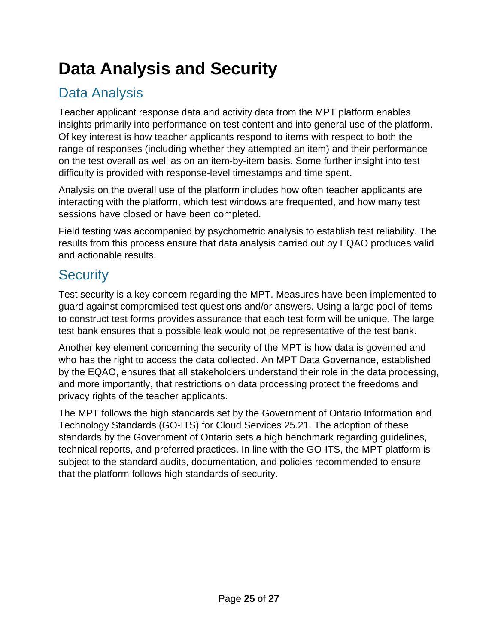# <span id="page-24-0"></span>**Data Analysis and Security**

## <span id="page-24-1"></span>Data Analysis

Teacher applicant response data and activity data from the MPT platform enables insights primarily into performance on test content and into general use of the platform. Of key interest is how teacher applicants respond to items with respect to both the range of responses (including whether they attempted an item) and their performance on the test overall as well as on an item-by-item basis. Some further insight into test difficulty is provided with response-level timestamps and time spent.

Analysis on the overall use of the platform includes how often teacher applicants are interacting with the platform, which test windows are frequented, and how many test sessions have closed or have been completed.

Field testing was accompanied by psychometric analysis to establish test reliability. The results from this process ensure that data analysis carried out by EQAO produces valid and actionable results.

## <span id="page-24-2"></span>**Security**

Test security is a key concern regarding the MPT. Measures have been implemented to guard against compromised test questions and/or answers. Using a large pool of items to construct test forms provides assurance that each test form will be unique. The large test bank ensures that a possible leak would not be representative of the test bank.

Another key element concerning the security of the MPT is how data is governed and who has the right to access the data collected. An MPT Data Governance, established by the EQAO, ensures that all stakeholders understand their role in the data processing, and more importantly, that restrictions on data processing protect the freedoms and privacy rights of the teacher applicants.

The MPT follows the high standards set by the Government of Ontario Information and Technology Standards (GO-ITS) for Cloud Services 25.21. The adoption of these standards by the Government of Ontario sets a high benchmark regarding guidelines, technical reports, and preferred practices. In line with the GO-ITS, the MPT platform is subject to the standard audits, documentation, and policies recommended to ensure that the platform follows high standards of security.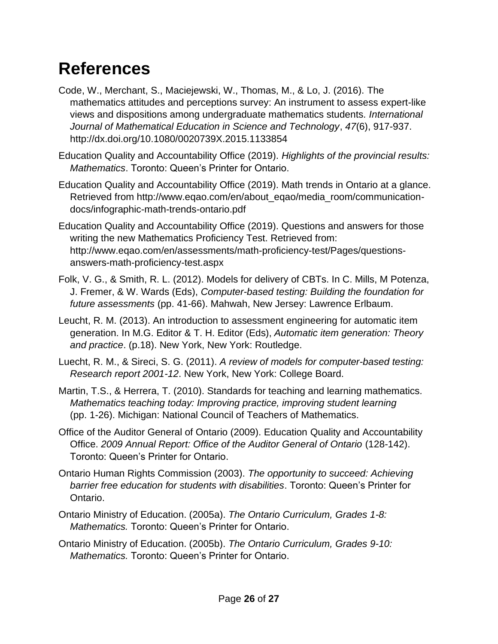# <span id="page-25-0"></span>**References**

- Code, W., Merchant, S., Maciejewski, W., Thomas, M., & Lo, J. (2016). The mathematics attitudes and perceptions survey: An instrument to assess expert-like views and dispositions among undergraduate mathematics students*. International Journal of Mathematical Education in Science and Technology*, *47*(6), 917-937. http://dx.doi.org/10.1080/0020739X.2015.1133854
- Education Quality and Accountability Office (2019). *Highlights of the provincial results: Mathematics*. Toronto: Queen's Printer for Ontario.
- Education Quality and Accountability Office (2019). Math trends in Ontario at a glance. Retrieved from http://www.eqao.com/en/about\_eqao/media\_room/communicationdocs/infographic-math-trends-ontario.pdf
- Education Quality and Accountability Office (2019). Questions and answers for those writing the new Mathematics Proficiency Test. Retrieved from: http://www.eqao.com/en/assessments/math-proficiency-test/Pages/questionsanswers-math-proficiency-test.aspx
- Folk, V. G., & Smith, R. L. (2012). Models for delivery of CBTs. In C. Mills, M Potenza, J. Fremer, & W. Wards (Eds), *Computer-based testing: Building the foundation for future assessments* (pp. 41-66). Mahwah, New Jersey: Lawrence Erlbaum.
- Leucht, R. M. (2013). An introduction to assessment engineering for automatic item generation. In M.G. Editor & T. H. Editor (Eds), *Automatic item generation: Theory and practice*. (p.18). New York, New York: Routledge.
- Luecht, R. M., & Sireci, S. G. (2011). *A review of models for computer-based testing: Research report 2001-12*. New York, New York: College Board.
- Martin, T.S., & Herrera, T. (2010). Standards for teaching and learning mathematics*. Mathematics teaching today: Improving practice, improving student learning* (pp. 1-26). Michigan: National Council of Teachers of Mathematics.
- Office of the Auditor General of Ontario (2009). Education Quality and Accountability Office. *2009 Annual Report: Office of the Auditor General of Ontario* (128-142). Toronto: Queen's Printer for Ontario.
- Ontario Human Rights Commission (2003). *The opportunity to succeed: Achieving barrier free education for students with disabilities*. Toronto: Queen's Printer for Ontario.
- Ontario Ministry of Education. (2005a). *The Ontario Curriculum, Grades 1-8: Mathematics.* Toronto: Queen's Printer for Ontario.
- Ontario Ministry of Education. (2005b). *The Ontario Curriculum, Grades 9-10: Mathematics.* Toronto: Queen's Printer for Ontario.